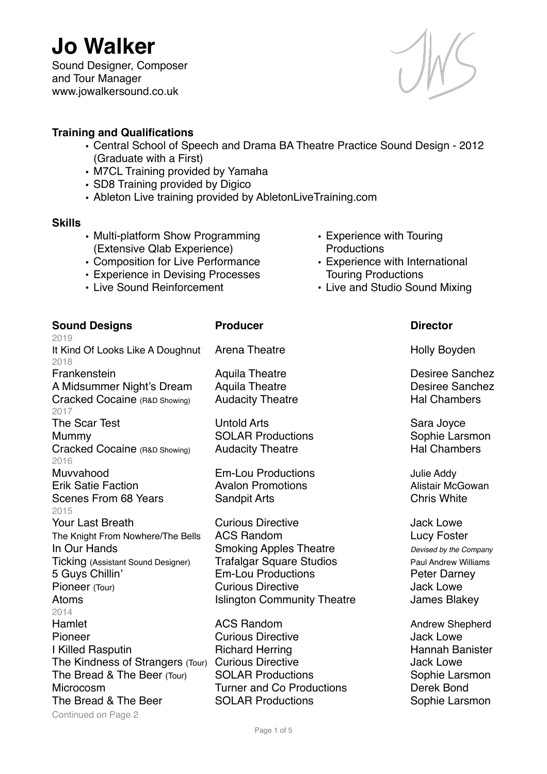Sound Designer, Composer and Tour Manager www.jowalkersound.co.uk



## **Training and Qualifications**

- Central School of Speech and Drama BA Theatre Practice Sound Design 2012 (Graduate with a First)
- M7CL Training provided by Yamaha
- SD8 Training provided by Digico
- Ableton Live training provided by AbletonLiveTraining.com

### **Skills**

- Multi-platform Show Programming (Extensive Qlab Experience)
- Composition for Live Performance
- Experience in Devising Processes
- Live Sound Reinforcement
- Experience with Touring **Productions**
- Experience with International Touring Productions
- Live and Studio Sound Mixing

## **Sound Designs Community Producer Community Director**

2019 It Kind Of Looks Like A Doughnut Arena Theatre **Holly Boyden** 2018 Frankenstein **Aquila Theatre Constructed Aquila Theatre Constructed Aquila Theatre Constructed Aquila Theatre** A Midsummer Night's Dream Aquila Theatre **Night's Dream Aquila Theatre Desiree Sanchez** Cracked Cocaine (R&D Showing) Audacity Theatre Hal Chambers Hal Chambers 2017 The Scar Test **Sara Joyce** Untold Arts **Sara Joyce** Sara Joyce Mummy SOLAR Productions Sophie Larsmon<br>Cracked Cocaine (B&D showing) Audacity Theatre State Hal Chambers Cracked Cocaine (R&D Showing) Audacity Theatre 2016 Muvvahood **Em-Lou Productions** Julie Addy Erik Satie Faction **Avalon Promotions** Alistair McGowan Scenes From 68 Years Sandpit Arts Chris White 2015 **Your Last Breath Curious Directive Curious Directive Access** Jack Lowe The Knight From Nowhere/The Bells ACS Random Nowhere 2016 2017 In Our Hands Smoking Apples Theatre *Devised by the Company* Ticking (Assistant Sound Designer) Trafalgar Square Studios Paul Andrew Williams 5 Guys Chillin' Em-Lou Productions Peter Darney Pioneer (Tour) **Curious Directive Curious Directive** Jack Lowe Atoms **Islington Community Theatre** James Blakey 2014 Hamlet **ACS Random** ACS Random Andrew Shepherd Pioneer **Curious Directive Curious Directive** Jack Lowe I Killed Rasputin **Richard Herring Hannah Banister Hannah Banister** The Kindness of Strangers (Tour) Curious Directive General Acck Lowe The Bread & The Beer (Tour) SOLAR Productions Sophie Larsmon Microcosm Turner and Co Productions Derek Bond The Bread & The Beer SOLAR Productions Sophie Larsmon

Continued on Page 2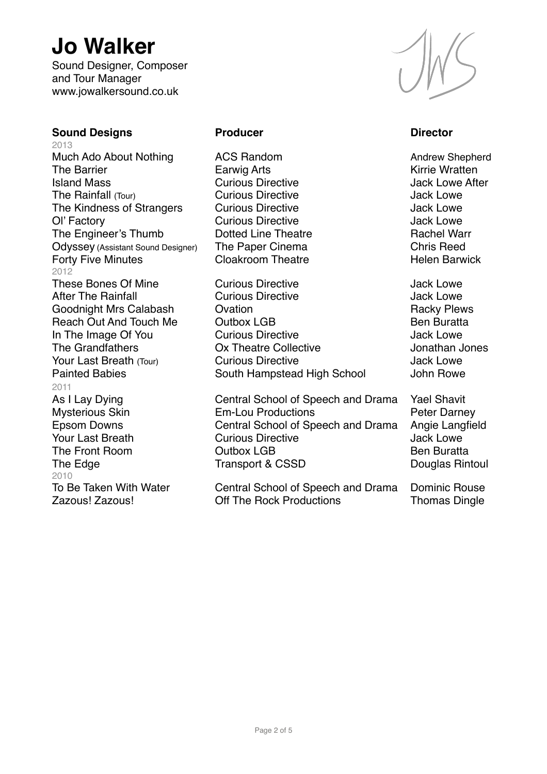Sound Designer, Composer and Tour Manager www.jowalkersound.co.uk

### **Sound Designs Producer Producer Constraining Director Director**

2013 Much Ado About Nothing ACS Random Andrew Shepherd The Barrier **Earwig Arts** Earwig Arts **Example 20** Kirrie Wratten Island Mass **Curious Directive After** Jack Lowe After The Rainfall (Tour) Curious Directive Curious Directive Jack Lowe The Kindness of Strangers Curious Directive Curious Directive Ol' Factory **Curious Directive Curious Directive** Jack Lowe The Engineer's Thumb Dotted Line Theatre **Rachel Warr** Odyssey (Assistant Sound Designer) The Paper Cinema Chris Reed<br>
Forty Five Minutes Cloakroom Theatre Chris Relen Barw Forty Five Minutes **Cloakroom Theatre Forty Five Minutes** 2012 These Bones Of Mine Curious Directive Curious Directive Jack Lowe 2011 2010

After The Rainfall **Curious Directive** After The Rainfall **Curious Directive** Goodnight Mrs Calabash **Columbus** Ovation **Columbus** Controllery Racky Plews Reach Out And Touch Me Cutbox LGB Ben Buratta In The Image Of You Curious Directive Jack Lowe The Grandfathers Ox Theatre Collective Jonathan Jones Your Last Breath (Tour) Curious Directive Curious According the Jack Lowe Painted Babies **South Hampstead High School** John Rowe

As I Lay Dying **Central School of Speech and Drama** Yael Shavit Mysterious Skin **Em-Lou Productions** Peter Darney Epsom Downs **Central School of Speech and Drama** Angie Langfield<br>
Your Last Breath Curious Directive **Cultains** Jack Lowe Curious Directive The Front Room **Cutbox LGB** Ben Buratta The Edge Transport & CSSD Douglas Rintoul

To Be Taken With Water Central School of Speech and Drama Dominic Rouse Zazous! Zazous! Off The Rock Productions Thomas Dingle

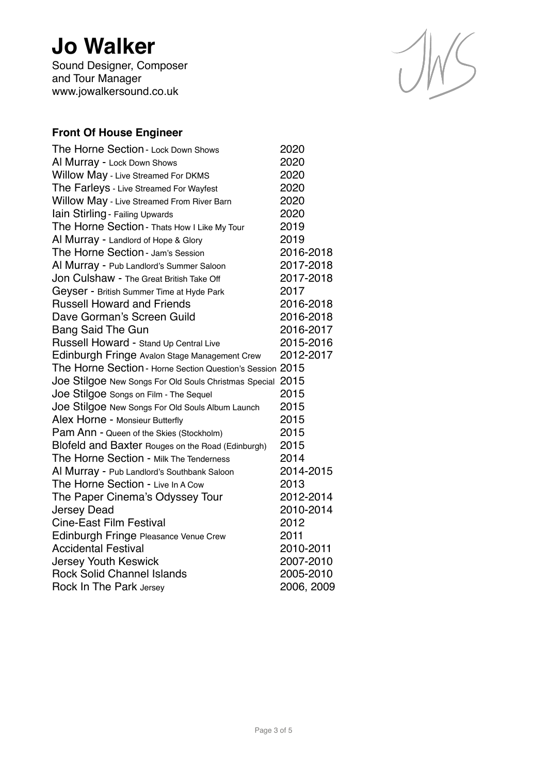Sound Designer, Composer and Tour Manager www.jowalkersound.co.uk



## **Front Of House Engineer**

| The Horne Section - Lock Down Shows                       | 2020       |
|-----------------------------------------------------------|------------|
| Al Murray - Lock Down Shows                               | 2020       |
| Willow May - Live Streamed For DKMS                       | 2020       |
| The Farleys - Live Streamed For Wayfest                   | 2020       |
| Willow May - Live Streamed From River Barn                | 2020       |
| Iain Stirling - Failing Upwards                           | 2020       |
| The Horne Section - Thats How I Like My Tour              | 2019       |
| Al Murray - Landlord of Hope & Glory                      | 2019       |
| The Horne Section - Jam's Session                         | 2016-2018  |
| Al Murray - Pub Landlord's Summer Saloon                  | 2017-2018  |
| Jon Culshaw - The Great British Take Off                  | 2017-2018  |
| Geyser - British Summer Time at Hyde Park                 | 2017       |
| <b>Russell Howard and Friends</b>                         | 2016-2018  |
| Dave Gorman's Screen Guild                                | 2016-2018  |
| <b>Bang Said The Gun</b>                                  | 2016-2017  |
| Russell Howard - Stand Up Central Live                    | 2015-2016  |
| Edinburgh Fringe Avalon Stage Management Crew             | 2012-2017  |
| The Horne Section - Horne Section Question's Session 2015 |            |
| Joe Stilgoe New Songs For Old Souls Christmas Special     | 2015       |
| Joe Stilgoe Songs on Film - The Sequel                    | 2015       |
| Joe Stilgoe New Songs For Old Souls Album Launch          | 2015       |
| Alex Horne - Monsieur Butterfly                           | 2015       |
| Pam Ann - Queen of the Skies (Stockholm)                  | 2015       |
| Blofeld and Baxter Rouges on the Road (Edinburgh)         | 2015       |
| The Horne Section - Milk The Tenderness                   | 2014       |
| Al Murray - Pub Landlord's Southbank Saloon               | 2014-2015  |
| The Horne Section - Live In A Cow                         | 2013       |
| The Paper Cinema's Odyssey Tour                           | 2012-2014  |
| <b>Jersey Dead</b>                                        | 2010-2014  |
| <b>Cine-East Film Festival</b>                            | 2012       |
| Edinburgh Fringe Pleasance Venue Crew                     | 2011       |
| <b>Accidental Festival</b>                                | 2010-2011  |
| <b>Jersey Youth Keswick</b>                               | 2007-2010  |
| <b>Rock Solid Channel Islands</b>                         | 2005-2010  |
| Rock In The Park Jersey                                   | 2006, 2009 |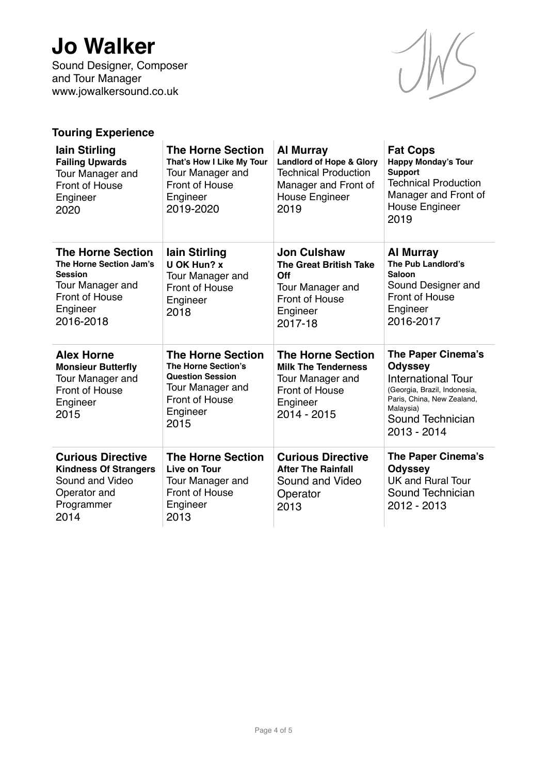Sound Designer, Composer and Tour Manager www.jowalkersound.co.uk



## **Touring Experience**

| lain Stirling<br><b>Failing Upwards</b><br>Tour Manager and<br><b>Front of House</b><br>Engineer<br>2020                             | <b>The Horne Section</b><br>That's How I Like My Tour<br>Tour Manager and<br>Front of House<br>Engineer<br>2019-2020                        | <b>Al Murray</b><br><b>Landlord of Hope &amp; Glory</b><br><b>Technical Production</b><br>Manager and Front of<br><b>House Engineer</b><br>2019 | <b>Fat Cops</b><br><b>Happy Monday's Tour</b><br><b>Support</b><br><b>Technical Production</b><br>Manager and Front of<br>House Engineer<br>2019                                |
|--------------------------------------------------------------------------------------------------------------------------------------|---------------------------------------------------------------------------------------------------------------------------------------------|-------------------------------------------------------------------------------------------------------------------------------------------------|---------------------------------------------------------------------------------------------------------------------------------------------------------------------------------|
| <b>The Horne Section</b><br>The Horne Section Jam's<br><b>Session</b><br>Tour Manager and<br>Front of House<br>Engineer<br>2016-2018 | lain Stirling<br><b>U OK Hun? x</b><br>Tour Manager and<br>Front of House<br>Engineer<br>2018                                               | <b>Jon Culshaw</b><br><b>The Great British Take</b><br>Off<br>Tour Manager and<br>Front of House<br>Engineer<br>2017-18                         | <b>Al Murray</b><br>The Pub Landlord's<br>Saloon<br>Sound Designer and<br>Front of House<br>Engineer<br>2016-2017                                                               |
| <b>Alex Horne</b><br><b>Monsieur Butterfly</b><br>Tour Manager and<br>Front of House<br>Engineer<br>2015                             | <b>The Horne Section</b><br><b>The Horne Section's</b><br><b>Question Session</b><br>Tour Manager and<br>Front of House<br>Engineer<br>2015 | <b>The Horne Section</b><br><b>Milk The Tenderness</b><br>Tour Manager and<br>Front of House<br>Engineer<br>2014 - 2015                         | The Paper Cinema's<br><b>Odyssey</b><br><b>International Tour</b><br>(Georgia, Brazil, Indonesia,<br>Paris, China, New Zealand,<br>Malaysia)<br>Sound Technician<br>2013 - 2014 |
| <b>Curious Directive</b><br><b>Kindness Of Strangers</b><br>Sound and Video<br>Operator and<br>Programmer<br>2014                    | <b>The Horne Section</b><br>Live on Tour<br>Tour Manager and<br>Front of House<br>Engineer<br>2013                                          | <b>Curious Directive</b><br><b>After The Rainfall</b><br>Sound and Video<br>Operator<br>2013                                                    | The Paper Cinema's<br><b>Odyssey</b><br><b>UK and Rural Tour</b><br>Sound Technician<br>2012 - 2013                                                                             |